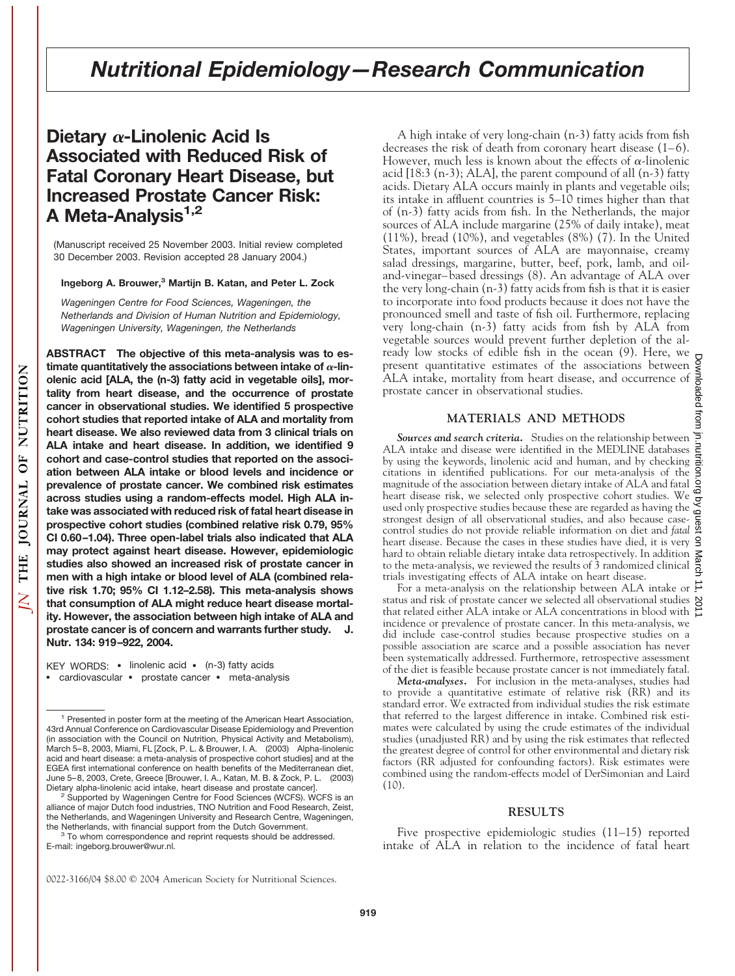# **Dietary** α-Linolenic Acid Is **Associated with Reduced Risk of Fatal Coronary Heart Disease, but Increased Prostate Cancer Risk:** A Meta-Analysis<sup>1,2</sup>

(Manuscript received 25 November 2003. Initial review completed 30 December 2003. Revision accepted 28 January 2004.)

# **Ingeborg A. Brouwer,3 Martijn B. Katan, and Peter L. Zock**

*Wageningen Centre for Food Sciences, Wageningen, the Netherlands and Division of Human Nutrition and Epidemiology, Wageningen University, Wageningen, the Netherlands*

**ABSTRACT The objective of this meta-analysis was to es** $t$  timate quantitatively the associations between intake of  $\alpha$ -lin**olenic acid [ALA, the (n-3) fatty acid in vegetable oils], mortality from heart disease, and the occurrence of prostate cancer in observational studies. We identified 5 prospective cohort studies that reported intake of ALA and mortality from heart disease. We also reviewed data from 3 clinical trials on ALA intake and heart disease. In addition, we identified 9 cohort and case-control studies that reported on the association between ALA intake or blood levels and incidence or prevalence of prostate cancer. We combined risk estimates across studies using a random-effects model. High ALA intake was associated with reduced risk of fatal heart disease in prospective cohort studies (combined relative risk 0.79, 95% CI 0.60–1.04). Three open-label trials also indicated that ALA may protect against heart disease. However, epidemiologic studies also showed an increased risk of prostate cancer in men with a high intake or blood level of ALA (combined relative risk 1.70; 95% CI 1.12–2.58). This meta-analysis shows that consumption of ALA might reduce heart disease mortality. However, the association between high intake of ALA and prostate cancer is of concern and warrants further study. J. Nutr. 134: 919–922, 2004.**

KEY WORDS: • linolenic acid • (n-3) fatty acids • cardiovascular • prostate cancer • meta-analysis

<sup>2</sup> Supported by Wageningen Centre for Food Sciences (WCFS). WCFS is an alliance of major Dutch food industries, TNO Nutrition and Food Research, Zeist, the Netherlands, and Wageningen University and Research Centre, Wageningen,

 $3$  To whom correspondence and reprint requests should be addressed. E-mail: ingeborg.brouwer@wur.nl.

A high intake of very long-chain (n-3) fatty acids from fish decreases the risk of death from coronary heart disease (1–6). However, much less is known about the effects of  $\alpha$ -linolenic acid  $[18:3 (n-3); ALA]$ , the parent compound of all  $(n-3)$  fatty acids. Dietary ALA occurs mainly in plants and vegetable oils; its intake in affluent countries is 5–10 times higher than that of (n-3) fatty acids from fish. In the Netherlands, the major sources of ALA include margarine (25% of daily intake), meat (11%), bread (10%), and vegetables (8%) (7). In the United States, important sources of ALA are mayonnaise, creamy salad dressings, margarine, butter, beef, pork, lamb, and oiland-vinegar–based dressings (8). An advantage of ALA over the very long-chain (n-3) fatty acids from fish is that it is easier to incorporate into food products because it does not have the pronounced smell and taste of fish oil. Furthermore, replacing very long-chain (n-3) fatty acids from fish by ALA from vegetable sources would prevent further depletion of the already low stocks of edible fish in the ocean (9). Here, we present quantitative estimates of the associations between ALA intake, mortality from heart disease, and occurrence of prostate cancer in observational studies.

## **MATERIALS AND METHODS**

*Sources and search criteria.* Studies on the relationship between ALA intake and disease were identified in the MEDLINE databases by using the keywords, linolenic acid and human, and by checking citations in identified publications. For our meta-analysis of the magnitude of the association between dietary intake of  $ALA$  and fatal  $\frac{1}{2}$ <br>heart discovered with measurement intervals of  $ALA$  and fatal  $\frac{1}{2}$ heart disease risk, we selected only prospective cohort studies. We heart disease risk, we selected only prospective containing the  $\leq$ <br>used only prospective studies because these are regarded as having the  $\leq$ strongest design of all observational studies, and also because casecontrol studies do not provide reliable information on diet and *fatal* as heart discose. Passes in the studies heart disease. Because the cases in these studies have died, it is very hard to obtain reliable dietary intake data retrospectively. In addition to the meta-analysis, we reviewed the results of 3 randomized clinical trials investigating effects of ALA intake on heart disease.

For a meta-analysis on the relationship between ALA intake or status and risk of prostate cancer we selected all observational studies  $\aleph$ that related either ALA intake or ALA concentrations in blood with incidence or prevalence of prostate cancer. In this meta-analysis, we did include case-control studies because prospective studies on a possible association are scarce and a possible association has never been systematically addressed. Furthermore, retrospective assessment of the diet is feasible because prostate cancer is not immediately fatal.

*Meta-analyses.* For inclusion in the meta-analyses, studies had to provide a quantitative estimate of relative risk (RR) and its standard error. We extracted from individual studies the risk estimate that referred to the largest difference in intake. Combined risk estimates were calculated by using the crude estimates of the individual studies (unadjusted RR) and by using the risk estimates that reflected the greatest degree of control for other environmental and dietary risk factors (RR adjusted for confounding factors). Risk estimates were combined using the random-effects model of DerSimonian and Laird  $(10)$ .

#### **RESULTS**

Five prospective epidemiologic studies (11–15) reported intake of ALA in relation to the incidence of fatal heart

<sup>&</sup>lt;sup>1</sup> Presented in poster form at the meeting of the American Heart Association, 43rd Annual Conference on Cardiovascular Disease Epidemiology and Prevention (in association with the Council on Nutrition, Physical Activity and Metabolism), March 5–8, 2003, Miami, FL [Zock, P. L. & Brouwer, I. A. (2003) Alpha-linolenic acid and heart disease: a meta-analysis of prospective cohort studies] and at the EGEA first international conference on health benefits of the Mediterranean diet, June 5–8, 2003, Crete, Greece [Brouwer, I. A., Katan, M. B. & Zock, P. L. (2003)

<sup>0022-3166/04 \$8.00 © 2004</sup> American Society for Nutritional Sciences.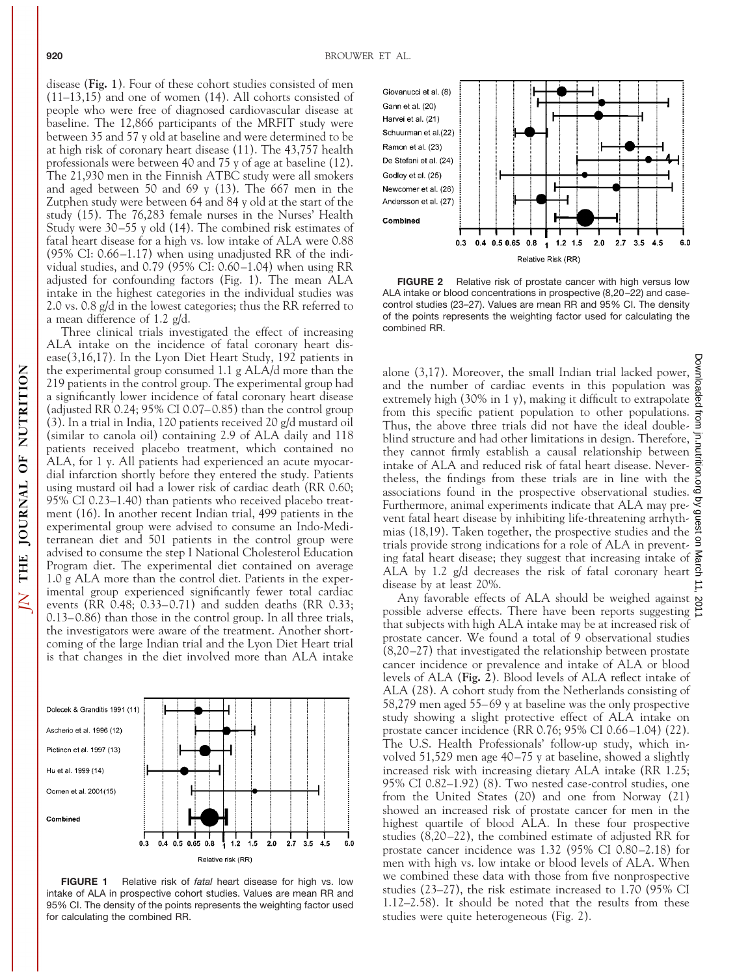disease (**Fig. 1**). Four of these cohort studies consisted of men  $(11-13,15)$  and one of women (14). All cohorts consisted of people who were free of diagnosed cardiovascular disease at baseline. The 12,866 participants of the MRFIT study were between 35 and 57 y old at baseline and were determined to be at high risk of coronary heart disease (11). The 43,757 health professionals were between 40 and 75 y of age at baseline (12). The 21,930 men in the Finnish ATBC study were all smokers and aged between 50 and 69 y (13). The 667 men in the Zutphen study were between 64 and 84 y old at the start of the study (15). The 76,283 female nurses in the Nurses' Health Study were 30–55 y old (14). The combined risk estimates of fatal heart disease for a high vs. low intake of ALA were 0.88 (95% CI: 0.66–1.17) when using unadjusted RR of the individual studies, and 0.79 (95% CI: 0.60–1.04) when using RR adjusted for confounding factors (Fig. 1). The mean ALA intake in the highest categories in the individual studies was 2.0 vs. 0.8 g/d in the lowest categories; thus the RR referred to a mean difference of 1.2 g/d.

Three clinical trials investigated the effect of increasing ALA intake on the incidence of fatal coronary heart disease(3,16,17). In the Lyon Diet Heart Study, 192 patients in the experimental group consumed 1.1 g ALA/d more than the 219 patients in the control group. The experimental group had a significantly lower incidence of fatal coronary heart disease (adjusted RR 0.24; 95% CI 0.07–0.85) than the control group (3). In a trial in India, 120 patients received 20 g/d mustard oil (similar to canola oil) containing 2.9 of ALA daily and 118 patients received placebo treatment, which contained no ALA, for 1 y. All patients had experienced an acute myocardial infarction shortly before they entered the study. Patients using mustard oil had a lower risk of cardiac death (RR 0.60; 95% CI 0.23–1.40) than patients who received placebo treatment (16). In another recent Indian trial, 499 patients in the experimental group were advised to consume an Indo-Mediterranean diet and 501 patients in the control group were advised to consume the step I National Cholesterol Education Program diet. The experimental diet contained on average 1.0 g ALA more than the control diet. Patients in the experimental group experienced significantly fewer total cardiac events (RR 0.48; 0.33–0.71) and sudden deaths (RR 0.33; 0.13–0.86) than those in the control group. In all three trials, the investigators were aware of the treatment. Another shortcoming of the large Indian trial and the Lyon Diet Heart trial is that changes in the diet involved more than ALA intake



**FIGURE 1** Relative risk of *fatal* heart disease for high vs. low intake of ALA in prospective cohort studies. Values are mean RR and 95% CI. The density of the points represents the weighting factor used for calculating the combined RR.



**FIGURE 2** Relative risk of prostate cancer with high versus low ALA intake or blood concentrations in prospective (8,20–22) and casecontrol studies (23–27). Values are mean RR and 95% CI. The density of the points represents the weighting factor used for calculating the combined RR.

alone (3,17). Moreover, the small Indian trial lacked power, and the number of cardiac events in this population was extremely high (30% in 1 y), making it difficult to extrapolate from this specific patient population to other populations. Thus, the above three trials did not have the ideal doubleblind structure and had other limitations in design. Therefore,  $\frac{1}{5}$ they cannot firmly establish a causal relationship between intake of ALA and reduced risk of fatal heart disease. Nevertheless, the findings from these trials are in line with the  $\frac{5}{6}$ associations found in the prospective observational studies.  $\vec{a}$ Furthermore, animal experiments indicate that ALA may prevent fatal heart disease by inhibiting life-threatening arrhythmias (18,19). Taken together, the prospective studies and the trials provide strong indications for a role of ALA in preventing fatal heart disease; they suggest that increasing intake of  $\frac{5}{9}$ ALA by 1.2 g/d decreases the risk of fatal coronary heart  $\frac{9}{2}$ disease by at least 20%.

Any favorable effects of ALA should be weighed against  $\lambda$ possible adverse effects. There have been reports suggesting  $\geq$ that subjects with high ALA intake may be at increased risk of prostate cancer. We found a total of 9 observational studies (8,20–27) that investigated the relationship between prostate cancer incidence or prevalence and intake of ALA or blood levels of ALA (**Fig. 2**). Blood levels of ALA reflect intake of ALA (28). A cohort study from the Netherlands consisting of 58,279 men aged 55–69 y at baseline was the only prospective study showing a slight protective effect of ALA intake on prostate cancer incidence (RR 0.76; 95% CI 0.66–1.04) (22). The U.S. Health Professionals' follow-up study, which involved 51,529 men age 40–75 y at baseline, showed a slightly increased risk with increasing dietary ALA intake (RR 1.25; 95% CI 0.82–1.92) (8). Two nested case-control studies, one from the United States (20) and one from Norway (21) showed an increased risk of prostate cancer for men in the highest quartile of blood ALA. In these four prospective studies (8,20–22), the combined estimate of adjusted RR for prostate cancer incidence was 1.32 (95% CI 0.80–2.18) for men with high vs. low intake or blood levels of ALA. When we combined these data with those from five nonprospective studies (23–27), the risk estimate increased to 1.70 (95% CI 1.12–2.58). It should be noted that the results from these studies were quite heterogeneous (Fig. 2).

THE JOURNAL OF NUTRITION

 $\overline{N}$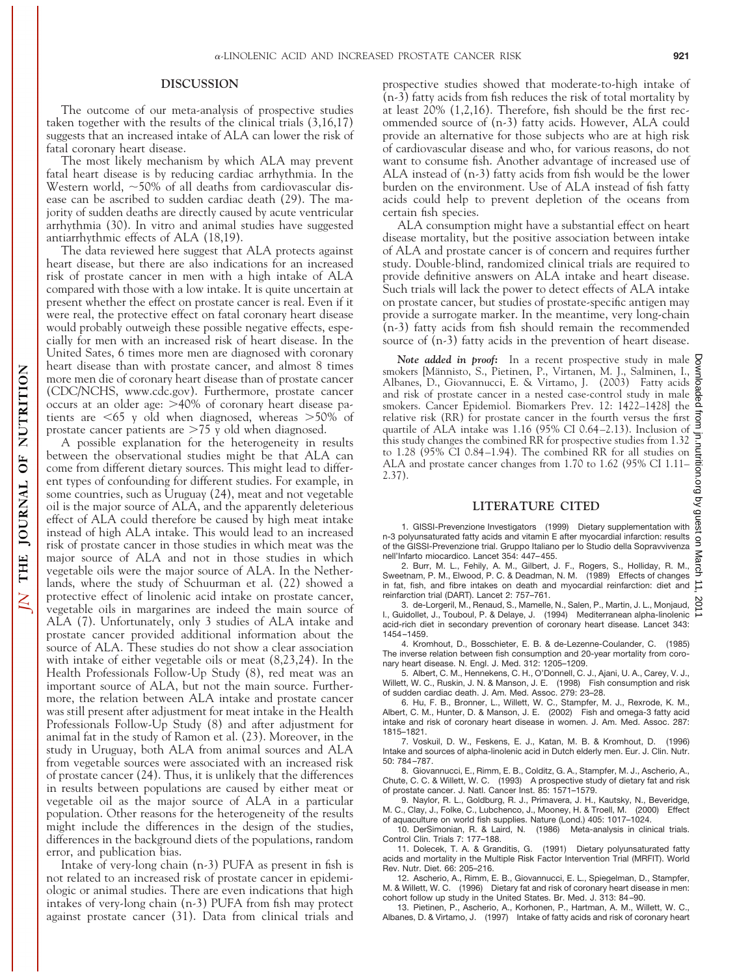## **DISCUSSION**

The outcome of our meta-analysis of prospective studies taken together with the results of the clinical trials (3,16,17) suggests that an increased intake of ALA can lower the risk of fatal coronary heart disease.

The most likely mechanism by which ALA may prevent fatal heart disease is by reducing cardiac arrhythmia. In the Western world,  $\sim$  50% of all deaths from cardiovascular disease can be ascribed to sudden cardiac death (29). The majority of sudden deaths are directly caused by acute ventricular arrhythmia (30). In vitro and animal studies have suggested antiarrhythmic effects of ALA (18,19).

The data reviewed here suggest that ALA protects against heart disease, but there are also indications for an increased risk of prostate cancer in men with a high intake of ALA compared with those with a low intake. It is quite uncertain at present whether the effect on prostate cancer is real. Even if it were real, the protective effect on fatal coronary heart disease would probably outweigh these possible negative effects, especially for men with an increased risk of heart disease. In the United Sates, 6 times more men are diagnosed with coronary heart disease than with prostate cancer, and almost 8 times more men die of coronary heart disease than of prostate cancer (CDC/NCHS, www.cdc.gov). Furthermore, prostate cancer occurs at an older age: >40% of coronary heart disease patients are  $\leq 65$  y old when diagnosed, whereas  $> 50\%$  of prostate cancer patients are  $>75$  y old when diagnosed.

A possible explanation for the heterogeneity in results between the observational studies might be that ALA can come from different dietary sources. This might lead to different types of confounding for different studies. For example, in some countries, such as Uruguay (24), meat and not vegetable oil is the major source of ALA, and the apparently deleterious effect of ALA could therefore be caused by high meat intake instead of high ALA intake. This would lead to an increased risk of prostate cancer in those studies in which meat was the major source of ALA and not in those studies in which vegetable oils were the major source of ALA. In the Netherlands, where the study of Schuurman et al. (22) showed a protective effect of linolenic acid intake on prostate cancer, vegetable oils in margarines are indeed the main source of ALA (7). Unfortunately, only 3 studies of ALA intake and prostate cancer provided additional information about the source of ALA. These studies do not show a clear association with intake of either vegetable oils or meat (8,23,24). In the Health Professionals Follow-Up Study (8), red meat was an important source of ALA, but not the main source. Furthermore, the relation between ALA intake and prostate cancer was still present after adjustment for meat intake in the Health Professionals Follow-Up Study (8) and after adjustment for animal fat in the study of Ramon et al. (23). Moreover, in the study in Uruguay, both ALA from animal sources and ALA from vegetable sources were associated with an increased risk of prostate cancer (24). Thus, it is unlikely that the differences in results between populations are caused by either meat or vegetable oil as the major source of ALA in a particular population. Other reasons for the heterogeneity of the results might include the differences in the design of the studies, differences in the background diets of the populations, random error, and publication bias.

Intake of very-long chain (n-3) PUFA as present in fish is not related to an increased risk of prostate cancer in epidemiologic or animal studies. There are even indications that high intakes of very-long chain (n-3) PUFA from fish may protect against prostate cancer (31). Data from clinical trials and

prospective studies showed that moderate-to-high intake of (n-3) fatty acids from fish reduces the risk of total mortality by at least 20% (1,2,16). Therefore, fish should be the first recommended source of (n-3) fatty acids. However, ALA could provide an alternative for those subjects who are at high risk of cardiovascular disease and who, for various reasons, do not want to consume fish. Another advantage of increased use of ALA instead of (n-3) fatty acids from fish would be the lower burden on the environment. Use of ALA instead of fish fatty acids could help to prevent depletion of the oceans from certain fish species.

ALA consumption might have a substantial effect on heart disease mortality, but the positive association between intake of ALA and prostate cancer is of concern and requires further study. Double-blind, randomized clinical trials are required to provide definitive answers on ALA intake and heart disease. Such trials will lack the power to detect effects of ALA intake on prostate cancer, but studies of prostate-specific antigen may provide a surrogate marker. In the meantime, very long-chain (n-3) fatty acids from fish should remain the recommended source of (n-3) fatty acids in the prevention of heart disease.

Note added in proof: In a recent prospective study in male  $\frac{6}{9}$ smokers [Männisto, S., Pietinen, P., Virtanen, M. J., Salminen, I., § Albanes, D., Giovannucci, E. & Virtamo, J. (2003) Fatty acids  $\frac{3}{8}$ and risk of prostate cancer in a nested case-control study in male  $\frac{a}{2}$  smokers. Cancer Epidemiol. Biomarkers Prev. 12: 1422–1428] the smokers. Cancer Epidemiol. Biomarkers Prev. 12: 1422–1428] the relative risk (RR) for prostate cancer in the fourth versus the first  $\vec{g}$  quartile of ALA intake was 1.16 (95% CI 0.64–2.13). Inclusion of  $\vec{g}$ quartile of ALA intake was 1.16 (95% CI 0.64–2.13). Inclusion of this study changes the combined RR for prospective studies from 1.32 to 1.28 (95% CI 0.84–1.94). The combined RR for all studies on ALA and prostate cancer changes from 1.70 to 1.62 (95% CI 1.11– 2.37).

### **LITERATURE CITED**

1. GISSI-Prevenzione Investigators (1999) Dietary supplementation with n-3 polyunsaturated fatty acids and vitamin E after myocardial infarction: results of the GISSI-Prevenzione trial. Gruppo Italiano per lo Studio della Sopravvivenza nell'Infarto miocardico. Lancet 354: 447–455.

2. Burr, M. L., Fehily, A. M., Gilbert, J. F., Rogers, S., Holliday, R. M., Sweetnam, P. M., Elwood, P. C. & Deadman, N. M. (1989) Effects of changes in fat, fish, and fibre intakes on death and myocardial reinfarction: diet and reinfarction trial (DART). Lancet 2: 757–761.

3. de-Lorgeril, M., Renaud, S., Mamelle, N., Salen, P., Martin, J. L., Monjaud, I., Guidollet, J., Touboul, P. & Delaye, J. (1994) Mediterranean alpha-linolenic acid-rich diet in secondary prevention of coronary heart disease. Lancet 343: 1454–1459.

4. Kromhout, D., Bosschieter, E. B. & de-Lezenne-Coulander, C. (1985) The inverse relation between fish consumption and 20-year mortality from coronary heart disease. N. Engl. J. Med. 312: 1205–1209.

5. Albert, C. M., Hennekens, C. H., O'Donnell, C. J., Ajani, U. A., Carey, V. J., Willett, W. C., Ruskin, J. N. & Manson, J. E. (1998) Fish consumption and risk of sudden cardiac death. J. Am. Med. Assoc. 279: 23–28.

6. Hu, F. B., Bronner, L., Willett, W. C., Stampfer, M. J., Rexrode, K. M., Albert, C. M., Hunter, D. & Manson, J. E. (2002) Fish and omega-3 fatty acid intake and risk of coronary heart disease in women. J. Am. Med. Assoc. 287: 1815–1821.

7. Voskuil, D. W., Feskens, E. J., Katan, M. B. & Kromhout, D. (1996) Intake and sources of alpha-linolenic acid in Dutch elderly men. Eur. J. Clin. Nutr. 50: 784–787.

8. Giovannucci, E., Rimm, E. B., Colditz, G. A., Stampfer, M. J., Ascherio, A., Chute, C. C. & Willett, W. C. (1993) A prospective study of dietary fat and risk of prostate cancer. J. Natl. Cancer Inst. 85: 1571–1579.

9. Naylor, R. L., Goldburg, R. J., Primavera, J. H., Kautsky, N., Beveridge, M. C., Clay, J., Folke, C., Lubchenco, J., Mooney, H. & Troell, M. (2000) Effect of aquaculture on world fish supplies. Nature (Lond.) 405: 1017–1024.

10. DerSimonian, R. & Laird, N. (1986) Meta-analysis in clinical trials. Control Clin. Trials 7: 177–188.

11. Dolecek, T. A. & Granditis, G. (1991) Dietary polyunsaturated fatty acids and mortality in the Multiple Risk Factor Intervention Trial (MRFIT). World Rev. Nutr. Diet. 66: 205–216.

12. Ascherio, A., Rimm, E. B., Giovannucci, E. L., Spiegelman, D., Stampfer, M. & Willett, W. C. (1996) Dietary fat and risk of coronary heart disease in men: cohort follow up study in the United States. Br. Med. J. 313: 84–90.

13. Pietinen, P., Ascherio, A., Korhonen, P., Hartman, A. M., Willett, W. C., Albanes, D. & Virtamo, J. (1997) Intake of fatty acids and risk of coronary heart